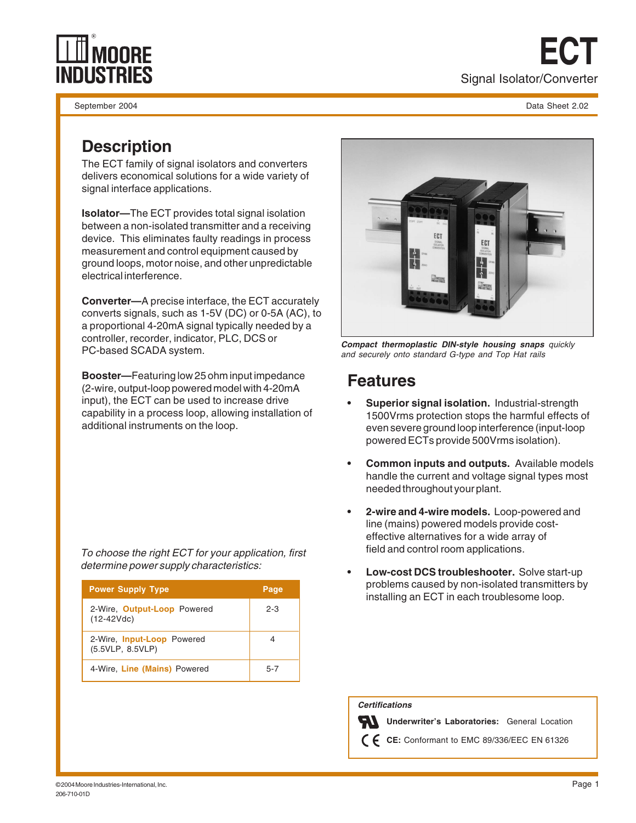

September 2004 Data Sheet 2.02

**ECT** Signal Isolator/Converter

# **Description**

The ECT family of signal isolators and converters delivers economical solutions for a wide variety of signal interface applications.

**Isolator—**The ECT provides total signal isolation between a non-isolated transmitter and a receiving device. This eliminates faulty readings in process measurement and control equipment caused by ground loops, motor noise, and other unpredictable electrical interference.

**Converter—**A precise interface, the ECT accurately converts signals, such as 1-5V (DC) or 0-5A (AC), to a proportional 4-20mA signal typically needed by a controller, recorder, indicator, PLC, DCS or PC-based SCADA system.

**Booster—**Featuring low 25 ohm input impedance (2-wire, output-loop powered model with 4-20mA input), the ECT can be used to increase drive capability in a process loop, allowing installation of additional instruments on the loop.

To choose the right ECT for your application, first determine power supply characteristics:

| <b>Power Supply Type</b>                       | Page    |
|------------------------------------------------|---------|
| 2-Wire, Output-Loop Powered<br>$(12-42Vdc)$    | $2 - 3$ |
| 2-Wire, Input-Loop Powered<br>(5.5VLP, 8.5VLP) |         |
| 4-Wire, Line (Mains) Powered                   | $5 - 7$ |



**Compact thermoplastic DIN-style housing snaps** quickly and securely onto standard G-type and Top Hat rails

## **Features**

- **Superior signal isolation.** Industrial-strength 1500Vrms protection stops the harmful effects of even severe ground loop interference (input-loop powered ECTs provide 500Vrms isolation).
- **Common inputs and outputs.** Available models handle the current and voltage signal types most needed throughout your plant.
- **2-wire and 4-wire models.** Loop-powered and line (mains) powered models provide costeffective alternatives for a wide array of field and control room applications.
- **Low-cost DCS troubleshooter.** Solve start-up problems caused by non-isolated transmitters by installing an ECT in each troublesome loop.

 **Certifications**

**Underwriter's Laboratories:** General Location

**CE:** Conformant to EMC 89/336/EEC EN 61326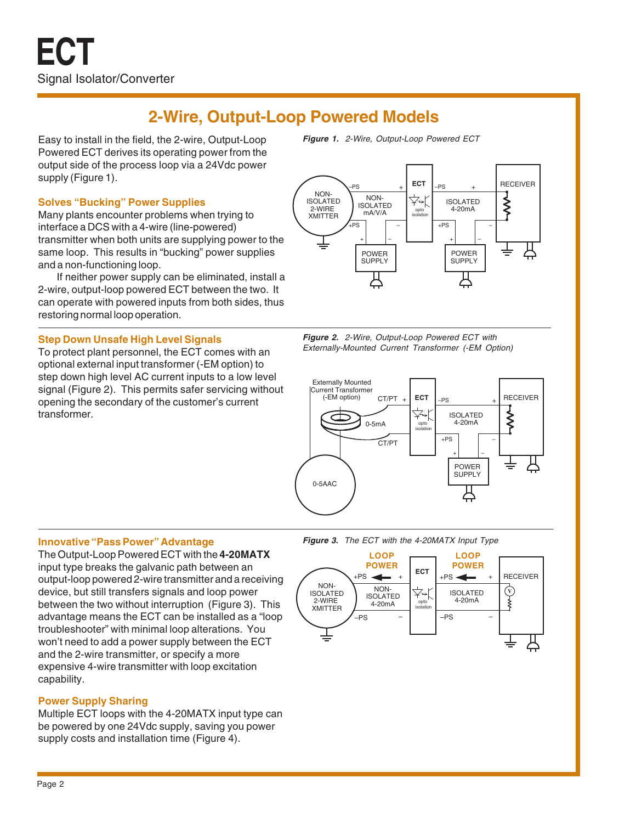# **2-Wire, Output-Loop Powered Models**

Easy to install in the field, the 2-wire, Output-Loop Powered ECT derives its operating power from the output side of the process loop via a 24Vdc power supply (Figure 1).

### **Solves "Bucking" Power Supplies**

Many plants encounter problems when trying to interface a DCS with a 4-wire (line-powered) transmitter when both units are supplying power to the same loop. This results in "bucking" power supplies and a non-functioning loop.

If neither power supply can be eliminated, install a 2-wire, output-loop powered ECT between the two. It can operate with powered inputs from both sides, thus restoring normal loop operation.

### **Step Down Unsafe High Level Signals**

To protect plant personnel, the ECT comes with an optional external input transformer (-EM option) to step down high level AC current inputs to a low level signal (Figure 2). This permits safer servicing without opening the secondary of the customer's current transformer.

**Figure 1.** 2-Wire, Output-Loop Powered ECT



**Figure 2.** 2-Wire, Output-Loop Powered ECT with Externally-Mounted Current Transformer (-EM Option)



### **Innovative "Pass Power" Advantage**

The Output-Loop Powered ECT with the **4-20MATX** input type breaks the galvanic path between an output-loop powered 2-wire transmitter and a receiving device, but still transfers signals and loop power between the two without interruption (Figure 3). This advantage means the ECT can be installed as a "loop troubleshooter" with minimal loop alterations. You won't need to add a power supply between the ECT and the 2-wire transmitter, or specify a more expensive 4-wire transmitter with loop excitation capability.

### **Power Supply Sharing**

Multiple ECT loops with the 4-20MATX input type can be powered by one 24Vdc supply, saving you power supply costs and installation time (Figure 4).



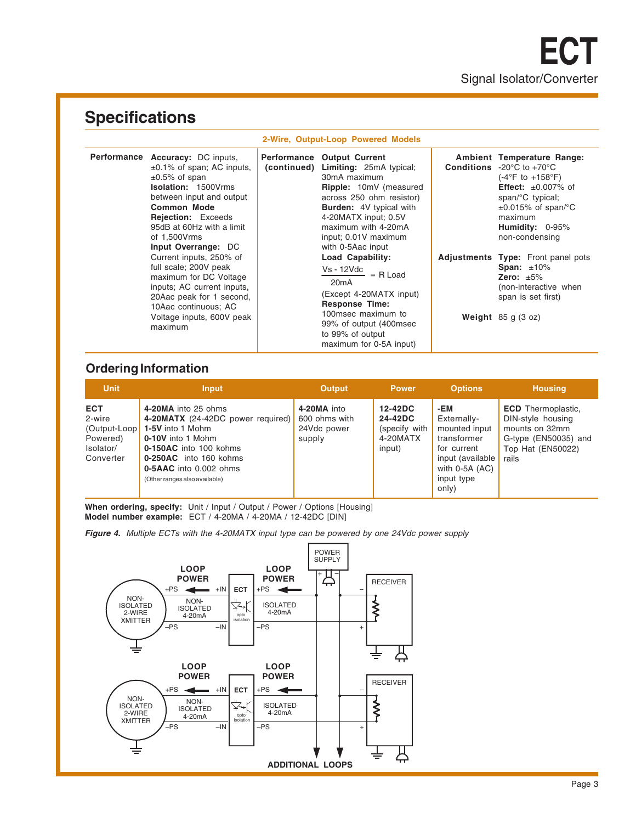# **Specifications**

#### **2-Wire, Output-Loop Powered Models**

| Performance Accuracy: DC inputs,<br>$\pm 0.1\%$ of span; AC inputs,<br>$\pm 0.5\%$ of span<br><b>Isolation: 1500Vrms</b><br>between input and output<br><b>Common Mode</b><br><b>Rejection:</b> Exceeds<br>95dB at 60Hz with a limit<br>of 1,500Vrms<br>Input Overrange: DC | <b>Performance</b><br>(continued) | <b>Output Current</b><br><b>Limiting: 25mA typical;</b><br>30mA maximum<br>Ripple: 10mV (measured<br>across 250 ohm resistor)<br><b>Burden:</b> 4V typical with<br>4-20MATX input; 0.5V<br>maximum with 4-20mA<br>input; 0.01V maximum<br>with 0-5Aac input | Ambient Temperature Range:<br><b>Conditions</b> $-20^{\circ}$ C to $+70^{\circ}$ C<br>$(-4^{\circ}F to +158^{\circ}F)$<br><b>Effect:</b> $\pm 0.007\%$ of<br>span/ ${}^{\circ}$ C typical;<br>$\pm 0.015\%$ of span/°C<br>maximum<br>Humidity: 0-95%<br>non-condensing |
|-----------------------------------------------------------------------------------------------------------------------------------------------------------------------------------------------------------------------------------------------------------------------------|-----------------------------------|-------------------------------------------------------------------------------------------------------------------------------------------------------------------------------------------------------------------------------------------------------------|------------------------------------------------------------------------------------------------------------------------------------------------------------------------------------------------------------------------------------------------------------------------|
| Current inputs, 250% of<br>full scale; 200V peak<br>maximum for DC Voltage<br>inputs; AC current inputs,<br>20Aac peak for 1 second,<br>10Aac continuous; AC<br>Voltage inputs, 600V peak<br>maximum                                                                        |                                   | Load Capability:<br>$Vs - 12Vdc$ = R Load<br>20 <sub>m</sub> A<br>(Except 4-20MATX input)<br><b>Response Time:</b><br>100msec maximum to<br>99% of output (400msec)<br>to 99% of output<br>maximum for 0-5A input)                                          | Adjustments Type: Front panel pots<br>Span: $±10\%$<br>Zero: $\pm 5\%$<br>(non-interactive when<br>span is set first)<br>Weight $85 g (3 oz)$                                                                                                                          |

## **Ordering Information**

| <b>Unit</b>                                                                | <b>Input</b>                                                                                                                                                                                                     | <b>Output</b>                                         | <b>Power</b>                                              | <b>Options</b>                                                                                                                     | <b>Housing</b>                                                                                                         |
|----------------------------------------------------------------------------|------------------------------------------------------------------------------------------------------------------------------------------------------------------------------------------------------------------|-------------------------------------------------------|-----------------------------------------------------------|------------------------------------------------------------------------------------------------------------------------------------|------------------------------------------------------------------------------------------------------------------------|
| <b>ECT</b><br>2-wire<br>(Output-Loop<br>Powered)<br>Isolator/<br>Converter | 4-20MA into 25 ohms<br>4-20MATX (24-42DC power required)<br>1-5V into 1 Mohm<br>0-10V into 1 Mohm<br>0-150AC into 100 kohms<br>0-250AC into 160 kohms<br>0-5AAC into 0.002 ohms<br>(Other ranges also available) | 4-20MA into<br>600 ohms with<br>24Vdc power<br>supply | 12-42DC<br>24-42DC<br>(specify with<br>4-20MATX<br>input) | -EM<br>Externally-<br>mounted input<br>transformer<br>for current<br>input (available<br>with $0-5A$ $(AC)$<br>input type<br>only) | <b>ECD</b> Thermoplastic.<br>DIN-style housing<br>mounts on 32mm<br>G-type (EN50035) and<br>Top Hat (EN50022)<br>rails |

When ordering, specify: Unit / Input / Output / Power / Options [Housing] **Model number example:** ECT / 4-20MA / 4-20MA / 12-42DC [DIN]

**Figure 4.** Multiple ECTs with the 4-20MATX input type can be powered by one 24Vdc power supply

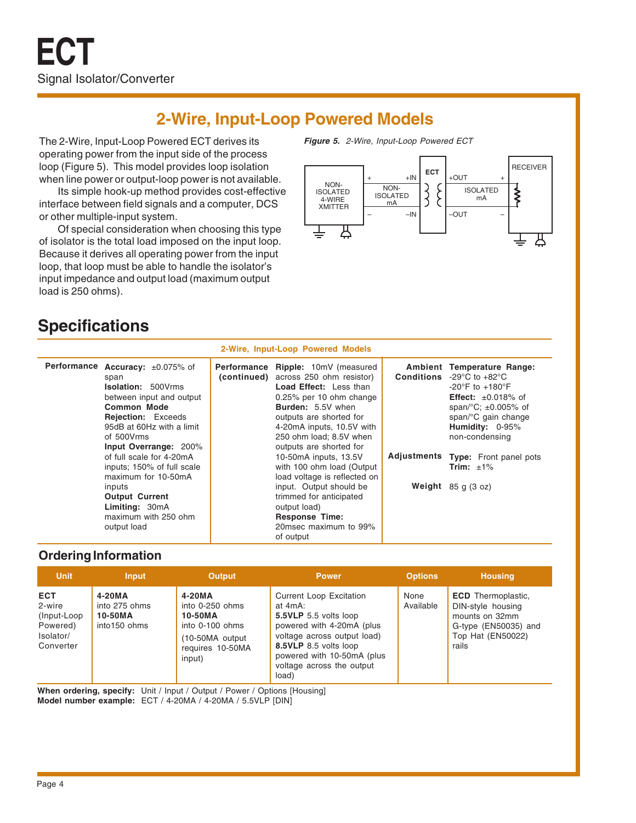# **2-Wire, Input-Loop Powered Models**

The 2-Wire, Input-Loop Powered ECT derives its operating power from the input side of the process loop (Figure 5). This model provides loop isolation when line power or output-loop power is not available.

Its simple hook-up method provides cost-effective interface between field signals and a computer, DCS or other multiple-input system.

Of special consideration when choosing this type of isolator is the total load imposed on the input loop. Because it derives all operating power from the input loop, that loop must be able to handle the isolator's input impedance and output load (maximum output load is 250 ohms).





# **Specifications**

|                                                                                                                                                                                                                          |             | 2-Wire, Input-Loop Powered Models                                                                                                                                                                                                                                    |                                                                                                                                                                                                                                                                   |
|--------------------------------------------------------------------------------------------------------------------------------------------------------------------------------------------------------------------------|-------------|----------------------------------------------------------------------------------------------------------------------------------------------------------------------------------------------------------------------------------------------------------------------|-------------------------------------------------------------------------------------------------------------------------------------------------------------------------------------------------------------------------------------------------------------------|
| Performance Accuracy: ±0.075% of<br>span<br><b>Isolation: 500Vrms</b><br>between input and output<br><b>Common Mode</b><br><b>Rejection:</b> Exceeds<br>95dB at 60Hz with a limit<br>of 500Vrms<br>Input Overrange: 200% | Performance | Ripple: 10mV (measured<br>(continued) across 250 ohm resistor)<br><b>Load Effect:</b> Less than<br>0.25% per 10 ohm change<br><b>Burden:</b> 5.5V when<br>outputs are shorted for<br>4-20mA inputs, 10.5V with<br>250 ohm load; 8.5V when<br>outputs are shorted for | Ambient Temperature Range:<br><b>Conditions</b> $-29^{\circ}$ C to $+82^{\circ}$ C<br>$-20^{\circ}$ F to $+180^{\circ}$ F<br><b>Effect:</b> $\pm 0.018\%$ of<br>span/ ${}^{\circ}$ C; $\pm$ 0.005% of<br>span/°C gain change<br>Humidity: 0-95%<br>non-condensing |
| of full scale for 4-20mA<br>inputs; 150% of full scale<br>maximum for 10-50mA                                                                                                                                            |             | 10-50mA inputs, 13.5V<br>with 100 ohm load (Output<br>load voltage is reflected on                                                                                                                                                                                   | Adjustments Type: Front panel pots<br>Trim: $\pm 1\%$                                                                                                                                                                                                             |
| inputs<br><b>Output Current</b><br>Limiting: 30mA<br>maximum with 250 ohm<br>output load                                                                                                                                 |             | input. Output should be<br>trimmed for anticipated<br>output load)<br><b>Response Time:</b><br>20msec maximum to 99%<br>of output                                                                                                                                    | Weight $85 g (3 oz)$                                                                                                                                                                                                                                              |

### **Ordering Information**

| <b>Unit</b>                                                                | <b>Input</b>                                       | <b>Output</b>                                                                                            | <b>Power</b>                                                                                                                                                                                                                | <b>Options</b>    | <b>Housing</b>                                                                                                         |
|----------------------------------------------------------------------------|----------------------------------------------------|----------------------------------------------------------------------------------------------------------|-----------------------------------------------------------------------------------------------------------------------------------------------------------------------------------------------------------------------------|-------------------|------------------------------------------------------------------------------------------------------------------------|
| <b>ECT</b><br>2-wire<br>(Input-Loop)<br>Powered)<br>Isolator/<br>Converter | 4-20MA<br>into 275 ohms<br>10-50MA<br>into150 ohms | 4-20MA<br>into 0-250 ohms<br>10-50MA<br>into 0-100 ohms<br>(10-50MA output<br>requires 10-50MA<br>input) | <b>Current Loop Excitation</b><br>at 4mA:<br>5.5VLP 5.5 volts loop<br>powered with 4-20mA (plus<br>voltage across output load)<br>8.5VLP 8.5 volts loop<br>powered with 10-50mA (plus<br>voltage across the output<br>load) | None<br>Available | <b>ECD</b> Thermoplastic.<br>DIN-style housing<br>mounts on 32mm<br>G-type (EN50035) and<br>Top Hat (EN50022)<br>rails |

When ordering, specify: Unit / Input / Output / Power / Options [Housing] **Model number example:** ECT / 4-20MA / 4-20MA / 5.5VLP [DIN]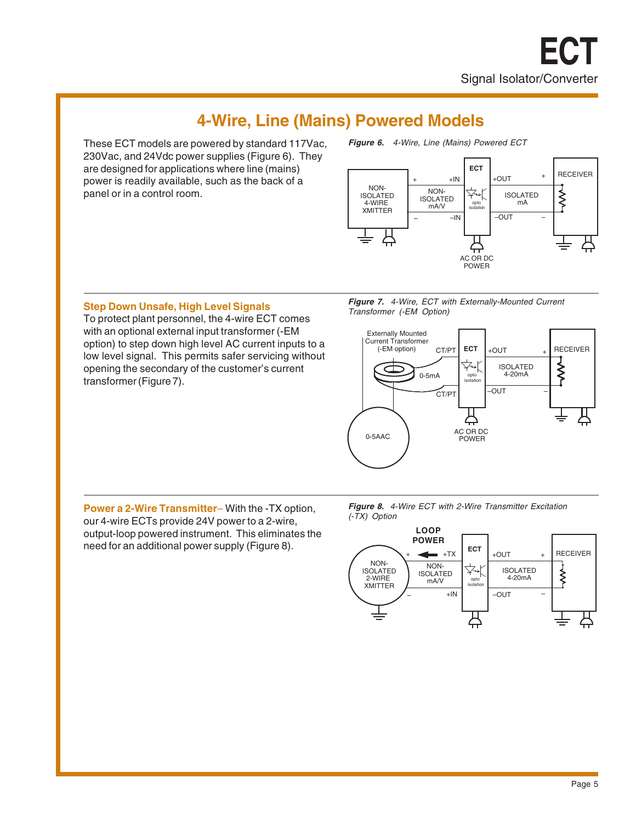# **4-Wire, Line (Mains) Powered Models**

These ECT models are powered by standard 117Vac, 230Vac, and 24Vdc power supplies (Figure 6). They are designed for applications where line (mains) power is readily available, such as the back of a panel or in a control room.

**Figure 6.** 4-Wire, Line (Mains) Powered ECT



**Figure 7.** 4-Wire, ECT with Externally-Mounted Current Transformer (-EM Option)

## **Step Down Unsafe, High Level Signals** To protect plant personnel, the 4-wire ECT comes

with an optional external input transformer (-EM option) to step down high level AC current inputs to a low level signal. This permits safer servicing without opening the secondary of the customer's current transformer (Figure 7).

Externally Mounted Current Transformer **RECEIVER** (-EM option) **ECT** CT/PT +OUT ISOLATED **<br>∕\** ¥ 0-5mA 4-20mA opto isolation –OUT – CT/PT AC OR DC 0-5AAC POWER

**Power a 2-Wire Transmitter**– With the -TX option, our 4-wire ECTs provide 24V power to a 2-wire, output-loop powered instrument. This eliminates the need for an additional power supply (Figure 8).



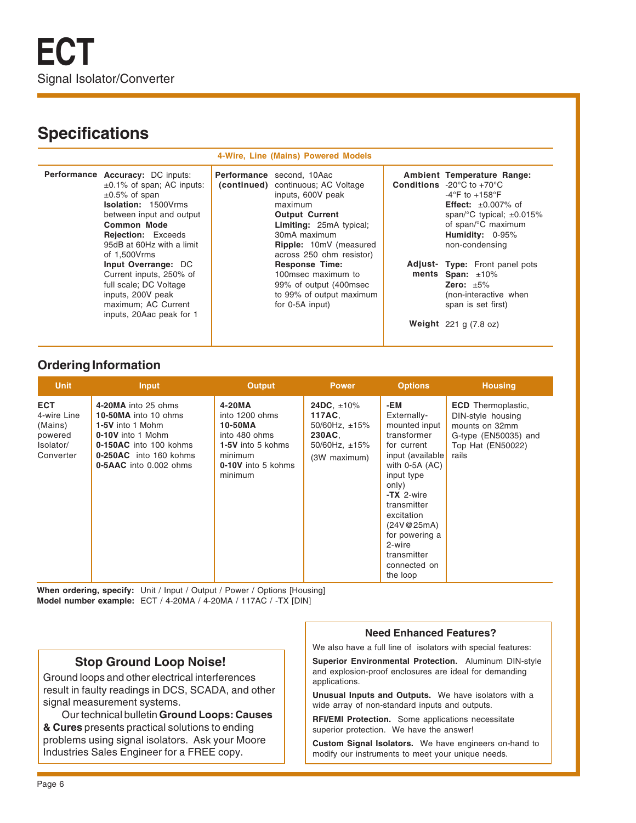# **Specifications**

#### **4-Wire, Line (Mains) Powered Models**

| Performance Accuracy: DC inputs:<br>$\pm 0.1\%$ of span; AC inputs:<br>$\pm 0.5\%$ of span<br><b>Isolation: 1500Vrms</b><br>between input and output<br><b>Common Mode</b><br><b>Rejection:</b> Exceeds<br>95dB at 60Hz with a limit<br>of 1,500Vrms | <b>Performance</b> second, 10Aac<br>(continued) continuous; AC Voltage<br>inputs, 600V peak<br>maximum<br><b>Output Current</b><br>Limiting: 25mA typical;<br>30mA maximum<br>Ripple: 10mV (measured<br>across 250 ohm resistor) | Ambient Temperature Range:<br><b>Conditions</b> -20 $^{\circ}$ C to +70 $^{\circ}$ C<br>$-4$ °F to $+158$ °F<br><b>Effect:</b> $\pm 0.007\%$ of<br>span/ $\degree$ C typical; $\pm$ 0.015%<br>of span/°C maximum<br>Humidity: 0-95%<br>non-condensing |
|------------------------------------------------------------------------------------------------------------------------------------------------------------------------------------------------------------------------------------------------------|----------------------------------------------------------------------------------------------------------------------------------------------------------------------------------------------------------------------------------|-------------------------------------------------------------------------------------------------------------------------------------------------------------------------------------------------------------------------------------------------------|
| Input Overrange: DC<br>Current inputs, 250% of<br>full scale; DC Voltage<br>inputs, 200V peak<br>maximum; AC Current<br>inputs, 20Aac peak for 1                                                                                                     | <b>Response Time:</b><br>100msec maximum to<br>99% of output (400msec)<br>to 99% of output maximum<br>for 0-5A input)                                                                                                            | <b>Adjust- Type:</b> Front panel pots<br>ments Span: $±10\%$<br>Zero: $\pm 5\%$<br>(non-interactive when<br>span is set first)<br>Weight $221$ g $(7.8$ oz)                                                                                           |

### **Ordering Information**

| <b>Unit</b>                                                               | Input                                                                                                                                                              | <b>Output</b>                                                                                                         | <b>Power</b>                                                                                  | <b>Options</b>                                                                                                                                                                                                                                                       | <b>Housing</b>                                                                                                         |
|---------------------------------------------------------------------------|--------------------------------------------------------------------------------------------------------------------------------------------------------------------|-----------------------------------------------------------------------------------------------------------------------|-----------------------------------------------------------------------------------------------|----------------------------------------------------------------------------------------------------------------------------------------------------------------------------------------------------------------------------------------------------------------------|------------------------------------------------------------------------------------------------------------------------|
| <b>ECT</b><br>4-wire Line<br>(Mains)<br>powered<br>Isolator/<br>Converter | 4-20MA into 25 ohms<br>10-50MA into 10 ohms<br>1-5V into 1 Mohm<br>0-10V into 1 Mohm<br>0-150AC into 100 kohms<br>0-250AC into 160 kohms<br>0-5AAC into 0.002 ohms | 4-20MA<br>into 1200 ohms<br>10-50MA<br>into 480 ohms<br>1-5V into 5 kohms<br>minimum<br>0-10V into 5 kohms<br>minimum | 24DC, $\pm 10\%$<br>117AC.<br>50/60Hz, $\pm$ 15%<br>230AC.<br>50/60Hz, $±15%$<br>(3W maximum) | -EM<br>Externally-<br>mounted input<br>transformer<br>for current<br>input (available<br>with $0-5A$ $(AC)$<br>input type<br>only)<br>$-TX$ 2-wire<br>transmitter<br>excitation<br>(24V@25mA)<br>for powering a<br>2-wire<br>transmitter<br>connected on<br>the loop | <b>ECD</b> Thermoplastic,<br>DIN-style housing<br>mounts on 32mm<br>G-type (EN50035) and<br>Top Hat (EN50022)<br>rails |

When ordering, specify: Unit / Input / Output / Power / Options [Housing] **Model number example:** ECT / 4-20MA / 4-20MA / 117AC / -TX [DIN]

### **Stop Ground Loop Noise!**

Ground loops and other electrical interferences result in faulty readings in DCS, SCADA, and other signal measurement systems.

Our technical bulletin **Ground Loops: Causes & Cures** presents practical solutions to ending problems using signal isolators. Ask your Moore Industries Sales Engineer for a FREE copy.

### **Need Enhanced Features?**

We also have a full line of isolators with special features:

**Superior Environmental Protection.** Aluminum DIN-style and explosion-proof enclosures are ideal for demanding applications.

**Unusual Inputs and Outputs.** We have isolators with a wide array of non-standard inputs and outputs.

**RFI/EMI Protection.** Some applications necessitate superior protection. We have the answer!

**Custom Signal Isolators.** We have engineers on-hand to modify our instruments to meet your unique needs.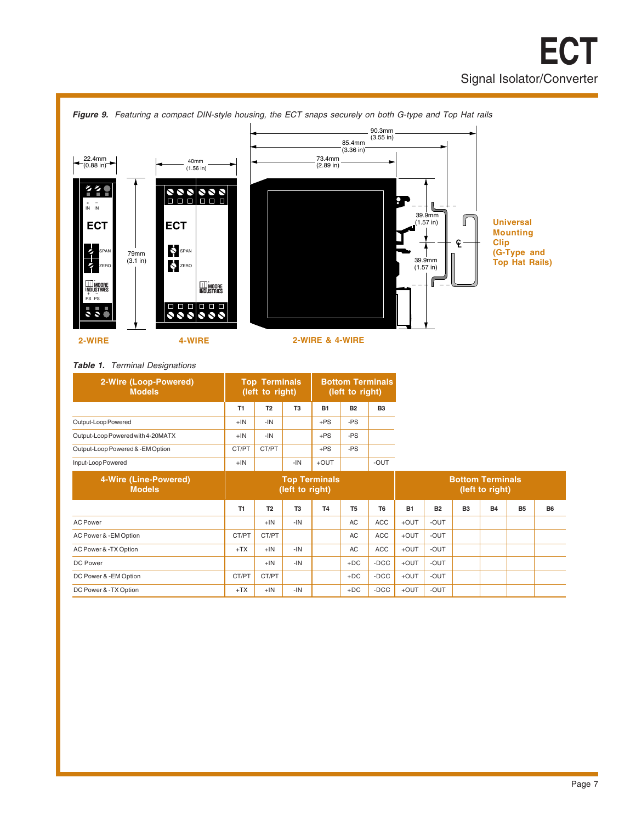

#### **Table 1.** Terminal Designations

| 2-Wire (Loop-Powered)<br><b>Models</b> |                | <b>Top Terminals</b><br>(left to right) |                |           | <b>Bottom Terminals</b><br>(left to right) |                |                         |                 |           |           |           |           |
|----------------------------------------|----------------|-----------------------------------------|----------------|-----------|--------------------------------------------|----------------|-------------------------|-----------------|-----------|-----------|-----------|-----------|
|                                        | T <sub>1</sub> | T <sub>2</sub>                          | T <sub>3</sub> | <b>B1</b> | <b>B2</b>                                  | B <sub>3</sub> |                         |                 |           |           |           |           |
| Output-Loop Powered                    | $+IN$          | $-IN$                                   |                | $+PS$     | $-PS$                                      |                |                         |                 |           |           |           |           |
| Output-Loop Powered with 4-20MATX      | $+IN$          | $-IN$                                   |                | $+ PS$    | -PS                                        |                |                         |                 |           |           |           |           |
| Output-Loop Powered & -EM Option       | CT/PT          | CT/PT                                   |                | $+ PS$    | -PS                                        |                |                         |                 |           |           |           |           |
| Input-Loop Powered                     | $+IN$          |                                         | $-IN$          | $+$ OUT   |                                            | -OUT           |                         |                 |           |           |           |           |
| 4-Wire (Line-Powered)<br><b>Models</b> |                | <b>Top Terminals</b><br>(left to right) |                |           |                                            |                | <b>Bottom Terminals</b> | (left to right) |           |           |           |           |
|                                        | T1             | T <sub>2</sub>                          | T <sub>3</sub> | <b>T4</b> | T <sub>5</sub>                             | T <sub>6</sub> | <b>B1</b>               | <b>B2</b>       | <b>B3</b> | <b>B4</b> | <b>B5</b> | <b>B6</b> |
| <b>AC Power</b>                        |                | $+IN$                                   | $-IN$          |           | <b>AC</b>                                  | ACC            | $+$ OUT                 | -OUT            |           |           |           |           |
| AC Power & -EM Option                  | CT/PT          | CT/PT                                   |                |           | <b>AC</b>                                  | ACC            | $+$ OUT                 | -OUT            |           |           |           |           |
| AC Power & -TX Option                  | $+TX$          | $+1N$                                   | $-IN$          |           | <b>AC</b>                                  | ACC            | $+$ OUT                 | -OUT            |           |           |           |           |
| DC Power                               |                | $+$ IN                                  | $-IN$          |           | $+DC$                                      | $-DCC$         | $+$ OUT                 | -OUT            |           |           |           |           |
| DC Power & -EM Option                  | CT/PT          | CT/PT                                   |                |           | $+DC$                                      | $-DCC$         | $+$ OUT                 | -OUT            |           |           |           |           |
| DC Power & -TX Option                  | $+TX$          | $+IN$                                   | $-IN$          |           | $+DC$                                      | $-DCC$         | $+$ OUT                 | -OUT            |           |           |           |           |